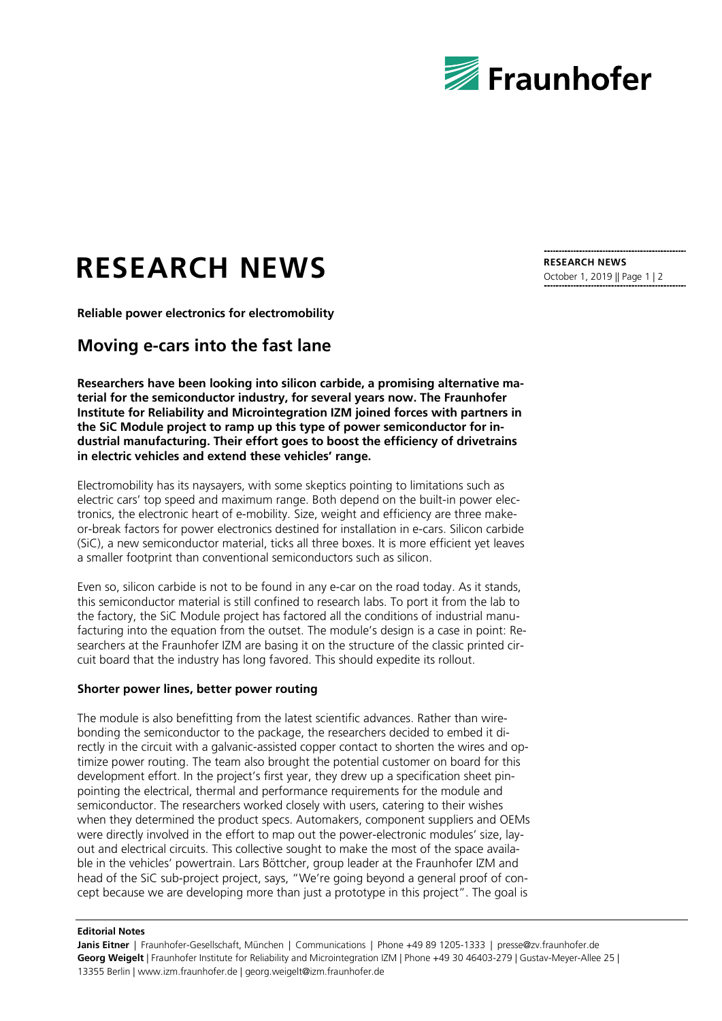

## **RESEARCH NEWS**

**Reliable power electronics for electromobility**

## **Moving e-cars into the fast lane**

**Researchers have been looking into silicon carbide, a promising alternative material for the semiconductor industry, for several years now. The Fraunhofer Institute for Reliability and Microintegration IZM joined forces with partners in the SiC Module project to ramp up this type of power semiconductor for industrial manufacturing. Their effort goes to boost the efficiency of drivetrains in electric vehicles and extend these vehicles' range.**

Electromobility has its naysayers, with some skeptics pointing to limitations such as electric cars' top speed and maximum range. Both depend on the built-in power electronics, the electronic heart of e-mobility. Size, weight and efficiency are three makeor-break factors for power electronics destined for installation in e-cars. Silicon carbide (SiC), a new semiconductor material, ticks all three boxes. It is more efficient yet leaves a smaller footprint than conventional semiconductors such as silicon.

Even so, silicon carbide is not to be found in any e-car on the road today. As it stands, this semiconductor material is still confined to research labs. To port it from the lab to the factory, the SiC Module project has factored all the conditions of industrial manufacturing into the equation from the outset. The module's design is a case in point: Researchers at the Fraunhofer IZM are basing it on the structure of the classic printed circuit board that the industry has long favored. This should expedite its rollout.

## **Shorter power lines, better power routing**

The module is also benefitting from the latest scientific advances. Rather than wirebonding the semiconductor to the package, the researchers decided to embed it directly in the circuit with a galvanic-assisted copper contact to shorten the wires and optimize power routing. The team also brought the potential customer on board for this development effort. In the project's first year, they drew up a specification sheet pinpointing the electrical, thermal and performance requirements for the module and semiconductor. The researchers worked closely with users, catering to their wishes when they determined the product specs. Automakers, component suppliers and OEMs were directly involved in the effort to map out the power-electronic modules' size, layout and electrical circuits. This collective sought to make the most of the space available in the vehicles' powertrain. Lars Böttcher, group leader at the Fraunhofer IZM and head of the SiC sub-project project, says, "We're going beyond a general proof of concept because we are developing more than just a prototype in this project". The goal is

## **Editorial Notes**

**Janis Eitner** | Fraunhofer-Gesellschaft, München | Communications | Phone +49 89 1205-1333 | presse@zv.fraunhofer.de **Georg Weigelt** | Fraunhofer Institute for Reliability and Microintegration IZM | Phone +49 30 46403-279 | Gustav-Meyer-Allee 25 | 13355 Berlin | www.izm.fraunhofer.de | georg.weigelt@izm.fraunhofer.de

**RESEARCH NEWS** October 1, 2019 || Page 1 | 2